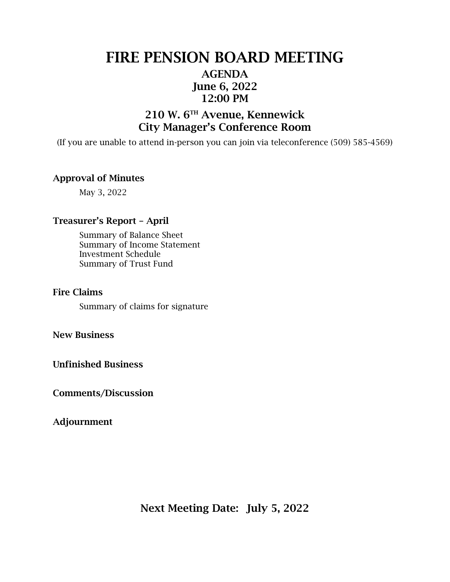# FIRE PENSION BOARD MEETING AGENDA June 6, 2022 12:00 PM

## 210 W. 6TH Avenue, Kennewick City Manager's Conference Room

(If you are unable to attend in-person you can join via teleconference (509) 585-4569)

## Approval of Minutes

May 3, 2022

## Treasurer's Report – April

Summary of Balance Sheet Summary of Income Statement Investment Schedule Summary of Trust Fund

#### Fire Claims

Summary of claims for signature

### New Business

Unfinished Business

Comments/Discussion

## Adjournment

Next Meeting Date: July 5, 2022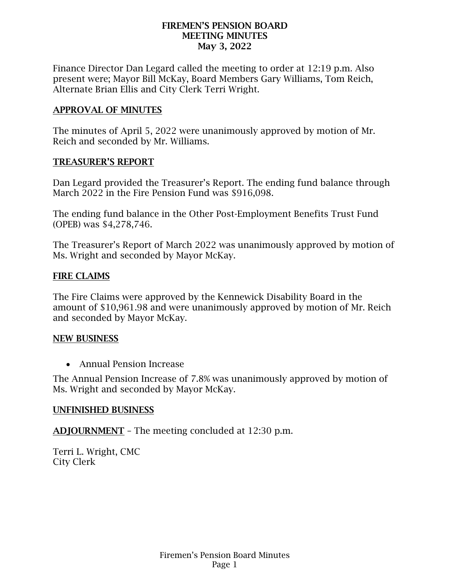## FIREMEN'S PENSION BOARD MEETING MINUTES May 3, 2022

Finance Director Dan Legard called the meeting to order at 12:19 p.m. Also present were; Mayor Bill McKay, Board Members Gary Williams, Tom Reich, Alternate Brian Ellis and City Clerk Terri Wright.

## APPROVAL OF MINUTES

The minutes of April 5, 2022 were unanimously approved by motion of Mr. Reich and seconded by Mr. Williams.

## TREASURER'S REPORT

Dan Legard provided the Treasurer's Report. The ending fund balance through March 2022 in the Fire Pension Fund was \$916,098.

The ending fund balance in the Other Post-Employment Benefits Trust Fund (OPEB) was \$4,278,746.

The Treasurer's Report of March 2022 was unanimously approved by motion of Ms. Wright and seconded by Mayor McKay.

## FIRE CLAIMS

The Fire Claims were approved by the Kennewick Disability Board in the amount of \$10,961.98 and were unanimously approved by motion of Mr. Reich and seconded by Mayor McKay.

## NEW BUSINESS

• Annual Pension Increase

The Annual Pension Increase of 7.8% was unanimously approved by motion of Ms. Wright and seconded by Mayor McKay.

## UNFINISHED BUSINESS

ADJOURNMENT – The meeting concluded at 12:30 p.m.

Terri L. Wright, CMC City Clerk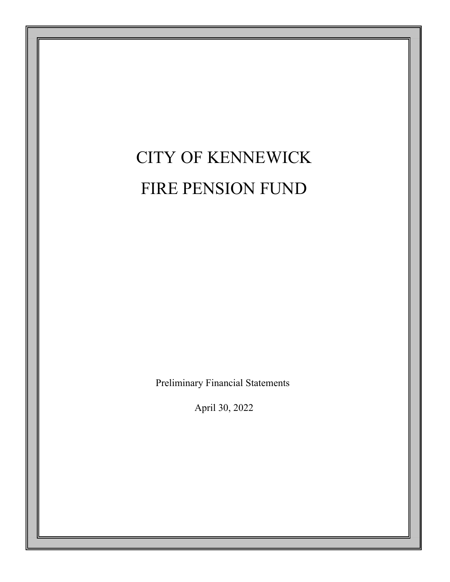# CITY OF KENNEWICK FIRE PENSION FUND

Preliminary Financial Statements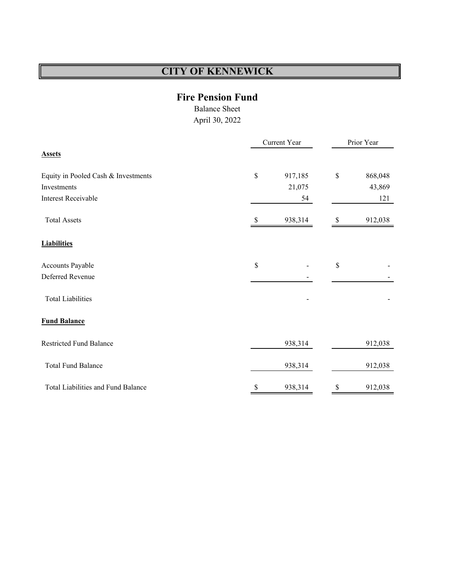## **Fire Pension Fund**

Balance Sheet

|                                     |      | Current Year |              |         |  |  |
|-------------------------------------|------|--------------|--------------|---------|--|--|
| <b>Assets</b>                       |      |              |              |         |  |  |
| Equity in Pooled Cash & Investments | $\$$ | 917,185      | \$           | 868,048 |  |  |
| Investments                         |      | 21,075       |              | 43,869  |  |  |
| <b>Interest Receivable</b>          |      | 54           |              | 121     |  |  |
| <b>Total Assets</b>                 | S    | 938,314      |              | 912,038 |  |  |
| <b>Liabilities</b>                  |      |              |              |         |  |  |
| Accounts Payable                    | \$   |              | $\mathbb{S}$ |         |  |  |
| Deferred Revenue                    |      |              |              |         |  |  |
| <b>Total Liabilities</b>            |      |              |              |         |  |  |
| <b>Fund Balance</b>                 |      |              |              |         |  |  |
| <b>Restricted Fund Balance</b>      |      | 938,314      |              | 912,038 |  |  |
| <b>Total Fund Balance</b>           |      | 938,314      |              | 912,038 |  |  |
| Total Liabilities and Fund Balance  | \$   | 938,314      | \$           | 912,038 |  |  |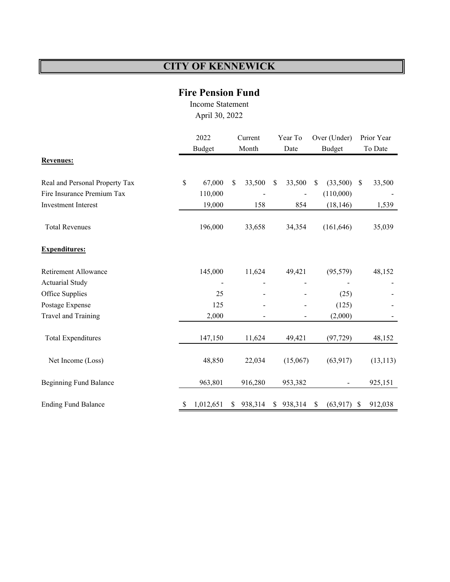## **Fire Pension Fund**

Income Statement April 30, 2022

|                                | 2022<br>Budget |           | Current<br>Month |         | Year To<br>Date |                          | Over (Under)<br>Budget |            | Prior Year<br>To Date |           |
|--------------------------------|----------------|-----------|------------------|---------|-----------------|--------------------------|------------------------|------------|-----------------------|-----------|
| <b>Revenues:</b>               |                |           |                  |         |                 |                          |                        |            |                       |           |
| Real and Personal Property Tax | \$             | 67,000    | \$               | 33,500  | $\mathbb{S}$    | 33,500                   | $\sqrt{\ }$            | (33,500)   | \$                    | 33,500    |
| Fire Insurance Premium Tax     |                | 110,000   |                  |         |                 |                          |                        | (110,000)  |                       |           |
| Investment Interest            |                | 19,000    |                  | 158     |                 | 854                      |                        | (18, 146)  |                       | 1,539     |
| <b>Total Revenues</b>          |                | 196,000   |                  | 33,658  |                 | 34,354                   |                        | (161, 646) |                       | 35,039    |
| <b>Expenditures:</b>           |                |           |                  |         |                 |                          |                        |            |                       |           |
| Retirement Allowance           |                | 145,000   |                  | 11,624  |                 | 49,421                   |                        | (95, 579)  |                       | 48,152    |
| <b>Actuarial Study</b>         |                |           |                  |         |                 |                          |                        |            |                       |           |
| Office Supplies                |                | 25        |                  |         |                 |                          |                        | (25)       |                       |           |
| Postage Expense                |                | 125       |                  |         |                 | $\overline{\phantom{m}}$ |                        | (125)      |                       |           |
| Travel and Training            |                | 2,000     |                  |         |                 |                          |                        | (2,000)    |                       |           |
| <b>Total Expenditures</b>      |                | 147,150   |                  | 11,624  |                 | 49,421                   |                        | (97, 729)  |                       | 48,152    |
| Net Income (Loss)              |                | 48,850    |                  | 22,034  |                 | (15,067)                 |                        | (63, 917)  |                       | (13, 113) |
| <b>Beginning Fund Balance</b>  |                | 963,801   |                  | 916,280 |                 | 953,382                  |                        |            |                       | 925,151   |
| <b>Ending Fund Balance</b>     | \$             | 1,012,651 | \$               | 938,314 | \$              | 938,314                  | \$                     | (63, 917)  | \$                    | 912,038   |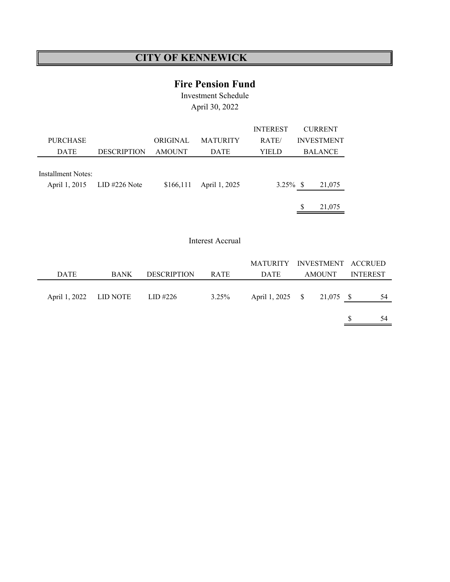## **Fire Pension Fund**

Investment Schedule April 30, 2022

|                                     |                    |               |                 | <b>INTEREST</b> |   | <b>CURRENT</b>    |
|-------------------------------------|--------------------|---------------|-----------------|-----------------|---|-------------------|
| <b>PURCHASE</b>                     |                    | ORIGINAL.     | <b>MATURITY</b> | RATE/           |   | <b>INVESTMENT</b> |
| <b>DATE</b>                         | <b>DESCRIPTION</b> | <b>AMOUNT</b> | <b>DATE</b>     | YIELD           |   | <b>BALANCE</b>    |
| Installment Notes:<br>April 1, 2015 | $LID$ #226 Note    | \$166,111     | April 1, 2025   | $3.25\%$ \$     |   | 21,075            |
|                                     |                    |               |                 |                 | S | 21,075            |

#### Interest Accrual

|                        |             |                    |             | MATURITY INVESTMENT ACCRUED |               |                 |    |
|------------------------|-------------|--------------------|-------------|-----------------------------|---------------|-----------------|----|
| <b>DATE</b>            | <b>BANK</b> | <b>DESCRIPTION</b> | <b>RATE</b> | <b>DATE</b>                 | <b>AMOUNT</b> | <b>INTEREST</b> |    |
| April 1, 2022 LID NOTE |             | LID #226           | 3.25%       | April 1, 2025 \$ 21,075 \$  |               |                 | 54 |
|                        |             |                    |             |                             |               |                 | 54 |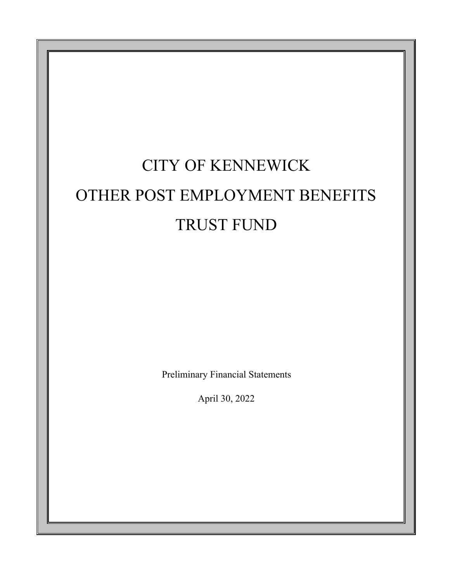# CITY OF KENNEWICK OTHER POST EMPLOYMENT BENEFITS TRUST FUND

Preliminary Financial Statements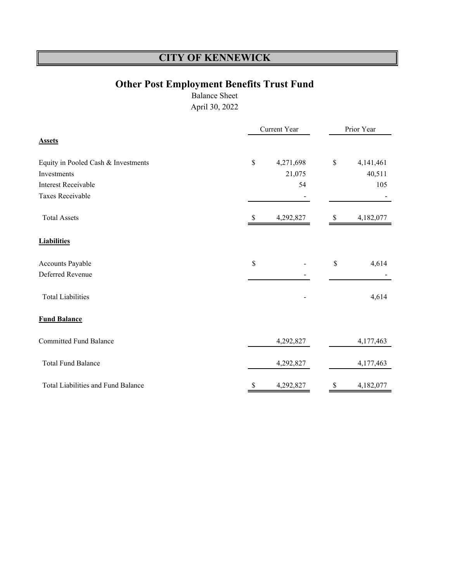# **Other Post Employment Benefits Trust Fund**

Balance Sheet

|                                     |      | Current Year | Prior Year |           |  |  |
|-------------------------------------|------|--------------|------------|-----------|--|--|
| <b>Assets</b>                       |      |              |            |           |  |  |
| Equity in Pooled Cash & Investments | $\$$ | 4,271,698    | \$         | 4,141,461 |  |  |
| Investments                         |      | 21,075       |            | 40,511    |  |  |
| <b>Interest Receivable</b>          |      | 54           |            | 105       |  |  |
| <b>Taxes Receivable</b>             |      |              |            |           |  |  |
| <b>Total Assets</b>                 |      | 4,292,827    | У          | 4,182,077 |  |  |
| <b>Liabilities</b>                  |      |              |            |           |  |  |
| Accounts Payable                    | \$   |              | \$         | 4,614     |  |  |
| Deferred Revenue                    |      |              |            |           |  |  |
| <b>Total Liabilities</b>            |      |              |            | 4,614     |  |  |
| <b>Fund Balance</b>                 |      |              |            |           |  |  |
| <b>Committed Fund Balance</b>       |      | 4,292,827    |            | 4,177,463 |  |  |
| <b>Total Fund Balance</b>           |      | 4,292,827    |            | 4,177,463 |  |  |
| Total Liabilities and Fund Balance  | \$   | 4,292,827    | \$         | 4,182,077 |  |  |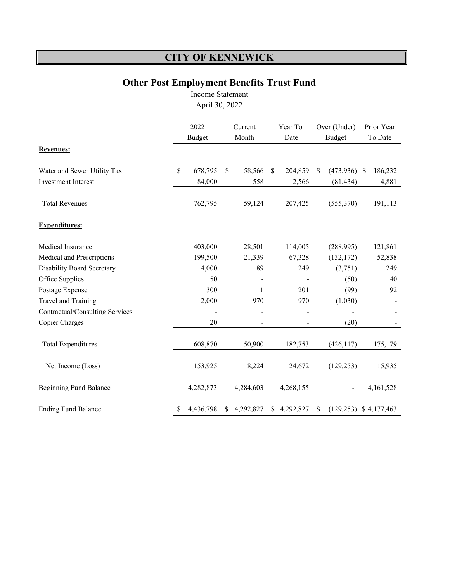# **Other Post Employment Benefits Trust Fund**

Income Statement

|                                   | 2022<br><b>Budget</b> |           |   | Current<br>Month |               | Year To<br>Date |               | Over (Under)<br><b>Budget</b> |    | Prior Year<br>To Date |
|-----------------------------------|-----------------------|-----------|---|------------------|---------------|-----------------|---------------|-------------------------------|----|-----------------------|
| <b>Revenues:</b>                  |                       |           |   |                  |               |                 |               |                               |    |                       |
| Water and Sewer Utility Tax       | \$                    | 678,795   | S | 58,566           | <sup>\$</sup> | 204,859         | <sup>\$</sup> | (473, 936)                    | -S | 186,232               |
| <b>Investment Interest</b>        |                       | 84,000    |   | 558              |               | 2,566           |               | (81, 434)                     |    | 4,881                 |
| <b>Total Revenues</b>             |                       | 762,795   |   | 59,124           |               | 207,425         |               | (555,370)                     |    | 191,113               |
| <b>Expenditures:</b>              |                       |           |   |                  |               |                 |               |                               |    |                       |
| Medical Insurance                 |                       | 403,000   |   | 28,501           |               | 114,005         |               | (288,995)                     |    | 121,861               |
| Medical and Prescriptions         |                       | 199,500   |   | 21,339           |               | 67,328          |               | (132, 172)                    |    | 52,838                |
| <b>Disability Board Secretary</b> |                       | 4,000     |   | 89               |               | 249             |               | (3,751)                       |    | 249                   |
| Office Supplies                   |                       | 50        |   |                  |               |                 |               | (50)                          |    | 40                    |
| Postage Expense                   |                       | 300       |   | 1                |               | 201             |               | (99)                          |    | 192                   |
| Travel and Training               |                       | 2,000     |   | 970              |               | 970             |               | (1,030)                       |    |                       |
| Contractual/Consulting Services   |                       |           |   |                  |               | -               |               |                               |    |                       |
| Copier Charges                    |                       | 20        |   | $\blacksquare$   |               |                 |               | (20)                          |    |                       |
| <b>Total Expenditures</b>         |                       | 608,870   |   | 50,900           |               | 182,753         |               | (426, 117)                    |    | 175,179               |
| Net Income (Loss)                 |                       | 153,925   |   | 8,224            |               | 24,672          |               | (129, 253)                    |    | 15,935                |
| <b>Beginning Fund Balance</b>     |                       | 4,282,873 |   | 4,284,603        |               | 4,268,155       |               |                               |    | 4,161,528             |
| <b>Ending Fund Balance</b>        | \$                    | 4,436,798 | S | 4,292,827        |               | \$4,292,827     | S             | $(129,253)$ \$ 4,177,463      |    |                       |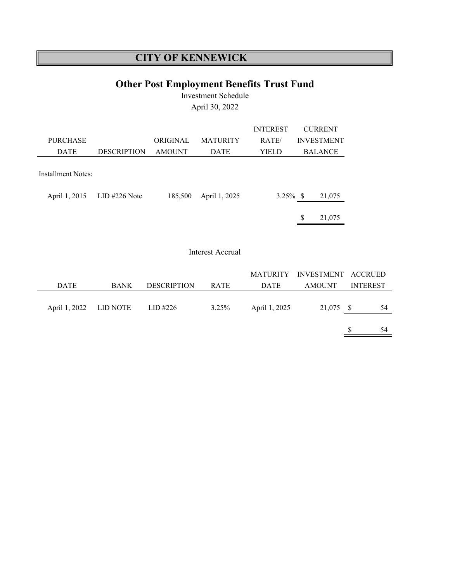# **Other Post Employment Benefits Trust Fund**

Investment Schedule April 30, 2022

|                    |                    |               |                 | <b>INTEREST</b> |   | <b>CURRENT</b>    |
|--------------------|--------------------|---------------|-----------------|-----------------|---|-------------------|
| <b>PURCHASE</b>    |                    | ORIGINAL      | <b>MATURITY</b> | RATE/           |   | <b>INVESTMENT</b> |
| <b>DATE</b>        | <b>DESCRIPTION</b> | <b>AMOUNT</b> | <b>DATE</b>     | YIELD           |   | <b>BALANCE</b>    |
|                    |                    |               |                 |                 |   |                   |
| Installment Notes: |                    |               |                 |                 |   |                   |
|                    |                    |               |                 |                 |   |                   |
| April 1, 2015      | $LID$ #226 Note    | 185,500       | April 1, 2025   | $3.25\%$ \$     |   | 21,075            |
|                    |                    |               |                 |                 |   |                   |
|                    |                    |               |                 |                 | S | 21,075            |

### Interest Accrual

|                        |             |                    |             |               | MATURITY INVESTMENT ACCRUED |                 |    |
|------------------------|-------------|--------------------|-------------|---------------|-----------------------------|-----------------|----|
| <b>DATE</b>            | <b>BANK</b> | <b>DESCRIPTION</b> | <b>RATE</b> | <b>DATE</b>   | <b>AMOUNT</b>               | <b>INTEREST</b> |    |
|                        |             |                    |             |               |                             |                 |    |
| April 1, 2022 LID NOTE |             | LID #226           | $3.25\%$    | April 1, 2025 | 21,075 \$                   |                 | 54 |
|                        |             |                    |             |               |                             |                 |    |
|                        |             |                    |             |               |                             |                 | 54 |